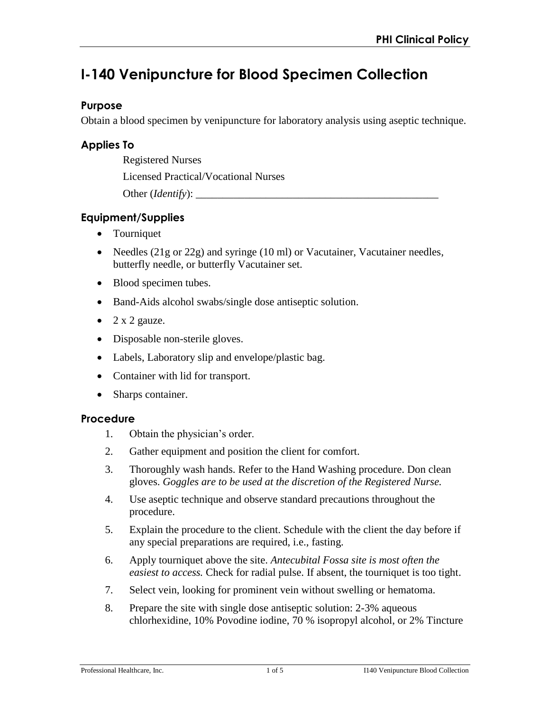# **I-140 Venipuncture for Blood Specimen Collection**

#### **Purpose**

Obtain a blood specimen by venipuncture for laboratory analysis using aseptic technique.

## **Applies To**

Registered Nurses

Licensed Practical/Vocational Nurses

Other (*Identify*):

# **Equipment/Supplies**

- Tourniquet
- Needles (21g or 22g) and syringe (10 ml) or Vacutainer, Vacutainer needles, butterfly needle, or butterfly Vacutainer set.
- Blood specimen tubes.
- Band-Aids alcohol swabs/single dose antiseptic solution.
- $\bullet$  2 x 2 gauze.
- Disposable non-sterile gloves.
- Labels, Laboratory slip and envelope/plastic bag.
- Container with lid for transport.
- Sharps container.

#### **Procedure**

- 1. Obtain the physician's order.
- 2. Gather equipment and position the client for comfort.
- 3. Thoroughly wash hands. Refer to the Hand Washing procedure. Don clean gloves. *Goggles are to be used at the discretion of the Registered Nurse.*
- 4. Use aseptic technique and observe standard precautions throughout the procedure.
- 5. Explain the procedure to the client. Schedule with the client the day before if any special preparations are required, i.e., fasting.
- 6. Apply tourniquet above the site. *Antecubital Fossa site is most often the easiest to access.* Check for radial pulse. If absent, the tourniquet is too tight.
- 7. Select vein, looking for prominent vein without swelling or hematoma.
- 8. Prepare the site with single dose antiseptic solution: 2-3% aqueous chlorhexidine, 10% Povodine iodine, 70 % isopropyl alcohol, or 2% Tincture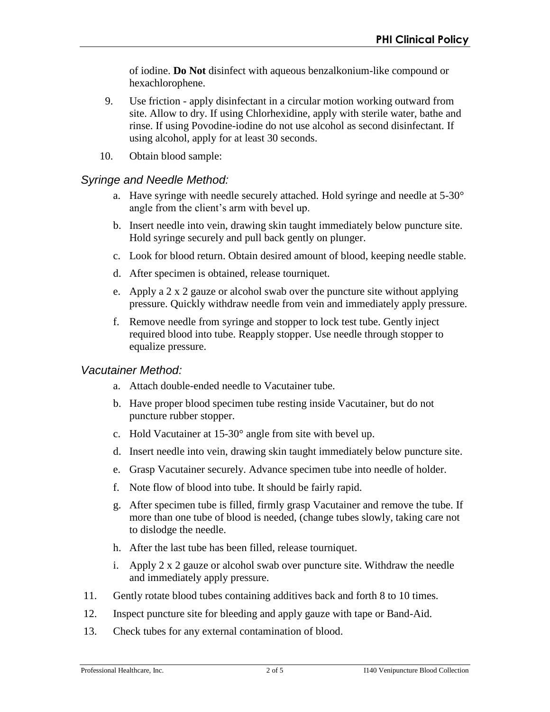of iodine. **Do Not** disinfect with aqueous benzalkonium-like compound or hexachlorophene.

- 9. Use friction apply disinfectant in a circular motion working outward from site. Allow to dry. If using Chlorhexidine, apply with sterile water, bathe and rinse. If using Povodine-iodine do not use alcohol as second disinfectant. If using alcohol, apply for at least 30 seconds.
- 10. Obtain blood sample:

## *Syringe and Needle Method:*

- a. Have syringe with needle securely attached. Hold syringe and needle at 5-30° angle from the client's arm with bevel up.
- b. Insert needle into vein, drawing skin taught immediately below puncture site. Hold syringe securely and pull back gently on plunger.
- c. Look for blood return. Obtain desired amount of blood, keeping needle stable.
- d. After specimen is obtained, release tourniquet.
- e. Apply a 2 x 2 gauze or alcohol swab over the puncture site without applying pressure. Quickly withdraw needle from vein and immediately apply pressure.
- f. Remove needle from syringe and stopper to lock test tube. Gently inject required blood into tube. Reapply stopper. Use needle through stopper to equalize pressure.

## *Vacutainer Method:*

- a. Attach double-ended needle to Vacutainer tube.
- b. Have proper blood specimen tube resting inside Vacutainer, but do not puncture rubber stopper.
- c. Hold Vacutainer at 15-30° angle from site with bevel up.
- d. Insert needle into vein, drawing skin taught immediately below puncture site.
- e. Grasp Vacutainer securely. Advance specimen tube into needle of holder.
- f. Note flow of blood into tube. It should be fairly rapid.
- g. After specimen tube is filled, firmly grasp Vacutainer and remove the tube. If more than one tube of blood is needed, (change tubes slowly, taking care not to dislodge the needle.
- h. After the last tube has been filled, release tourniquet.
- i. Apply 2 x 2 gauze or alcohol swab over puncture site. Withdraw the needle and immediately apply pressure.
- 11. Gently rotate blood tubes containing additives back and forth 8 to 10 times.
- 12. Inspect puncture site for bleeding and apply gauze with tape or Band-Aid.
- 13. Check tubes for any external contamination of blood.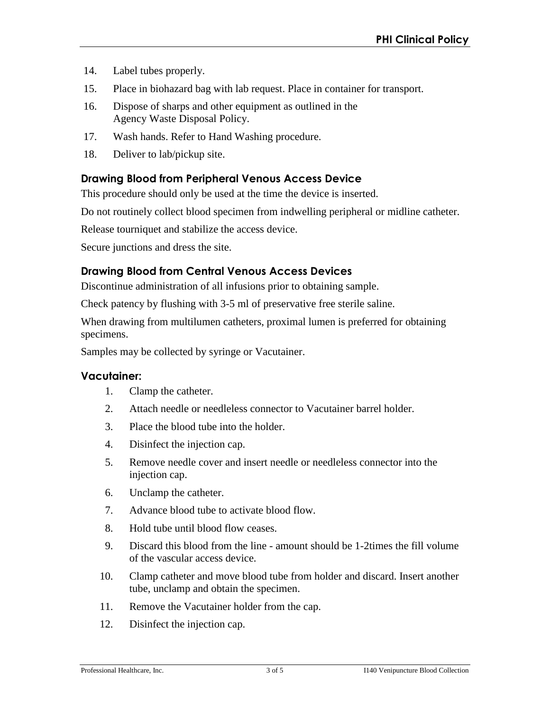- 14. Label tubes properly.
- 15. Place in biohazard bag with lab request. Place in container for transport.
- 16. Dispose of sharps and other equipment as outlined in the Agency Waste Disposal Policy.
- 17. Wash hands. Refer to Hand Washing procedure.
- 18. Deliver to lab/pickup site.

## **Drawing Blood from Peripheral Venous Access Device**

This procedure should only be used at the time the device is inserted.

Do not routinely collect blood specimen from indwelling peripheral or midline catheter.

Release tourniquet and stabilize the access device.

Secure junctions and dress the site.

# **Drawing Blood from Central Venous Access Devices**

Discontinue administration of all infusions prior to obtaining sample.

Check patency by flushing with 3-5 ml of preservative free sterile saline.

When drawing from multilumen catheters, proximal lumen is preferred for obtaining specimens.

Samples may be collected by syringe or Vacutainer.

#### **Vacutainer:**

- 1. Clamp the catheter.
- 2. Attach needle or needleless connector to Vacutainer barrel holder.
- 3. Place the blood tube into the holder.
- 4. Disinfect the injection cap.
- 5. Remove needle cover and insert needle or needleless connector into the injection cap.
- 6. Unclamp the catheter.
- 7. Advance blood tube to activate blood flow.
- 8. Hold tube until blood flow ceases.
- 9. Discard this blood from the line amount should be 1-2times the fill volume of the vascular access device.
- 10. Clamp catheter and move blood tube from holder and discard. Insert another tube, unclamp and obtain the specimen.
- 11. Remove the Vacutainer holder from the cap.
- 12. Disinfect the injection cap.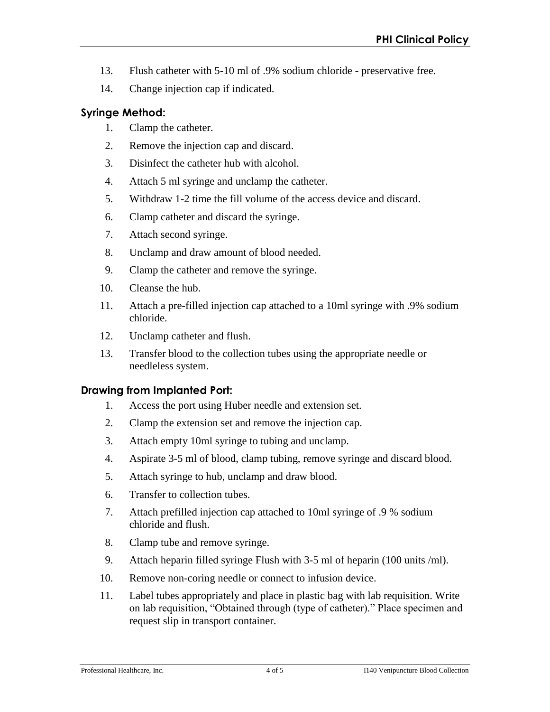- 13. Flush catheter with 5-10 ml of .9% sodium chloride preservative free.
- 14. Change injection cap if indicated.

# **Syringe Method:**

- 1. Clamp the catheter.
- 2. Remove the injection cap and discard.
- 3. Disinfect the catheter hub with alcohol.
- 4. Attach 5 ml syringe and unclamp the catheter.
- 5. Withdraw 1-2 time the fill volume of the access device and discard.
- 6. Clamp catheter and discard the syringe.
- 7. Attach second syringe.
- 8. Unclamp and draw amount of blood needed.
- 9. Clamp the catheter and remove the syringe.
- 10. Cleanse the hub.
- 11. Attach a pre-filled injection cap attached to a 10ml syringe with .9% sodium chloride.
- 12. Unclamp catheter and flush.
- 13. Transfer blood to the collection tubes using the appropriate needle or needleless system.

# **Drawing from Implanted Port:**

- 1. Access the port using Huber needle and extension set.
- 2. Clamp the extension set and remove the injection cap.
- 3. Attach empty 10ml syringe to tubing and unclamp.
- 4. Aspirate 3-5 ml of blood, clamp tubing, remove syringe and discard blood.
- 5. Attach syringe to hub, unclamp and draw blood.
- 6. Transfer to collection tubes.
- 7. Attach prefilled injection cap attached to 10ml syringe of .9 % sodium chloride and flush.
- 8. Clamp tube and remove syringe.
- 9. Attach heparin filled syringe Flush with 3-5 ml of heparin (100 units /ml).
- 10. Remove non-coring needle or connect to infusion device.
- 11. Label tubes appropriately and place in plastic bag with lab requisition. Write on lab requisition, "Obtained through (type of catheter)." Place specimen and request slip in transport container.